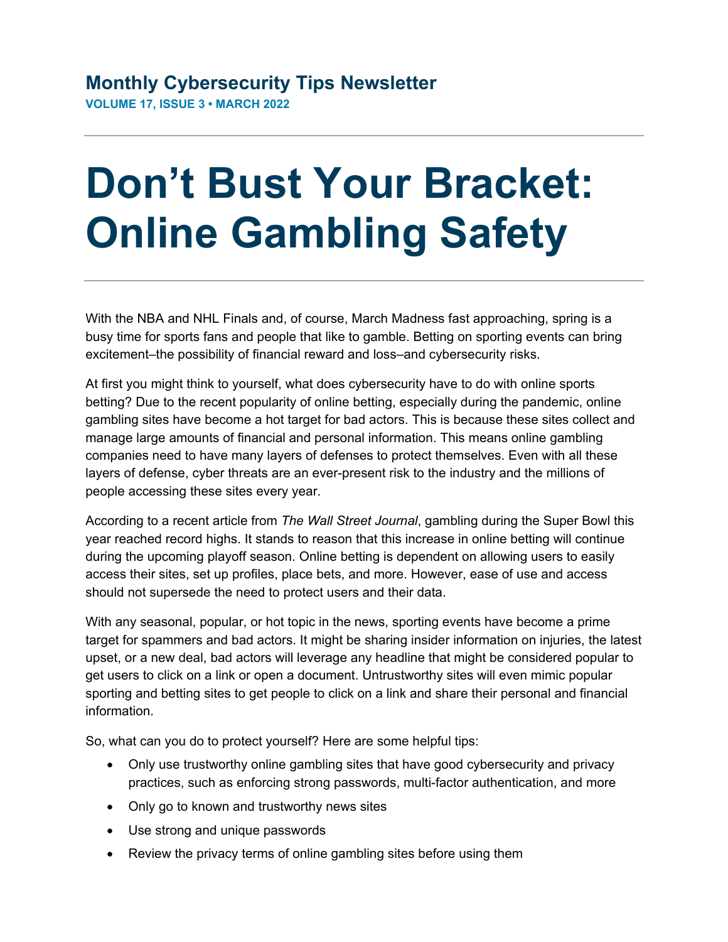## **Don't Bust Your Bracket: Online Gambling Safety**

With the NBA and NHL Finals and, of course, March Madness fast approaching, spring is a busy time for sports fans and people that like to gamble. Betting on sporting events can bring excitement–the possibility of financial reward and loss–and cybersecurity risks.

At first you might think to yourself, what does cybersecurity have to do with online sports betting? Due to the recent popularity of online betting, especially during the pandemic, online gambling sites have become a hot target for bad actors. This is because these sites collect and manage large amounts of financial and personal information. This means online gambling companies need to have many layers of defenses to protect themselves. Even with all these layers of defense, cyber threats are an ever-present risk to the industry and the millions of people accessing these sites every year.

According to a recent article from *The Wall Street Journal*, gambling during the Super Bowl this year reached record highs. It stands to reason that this increase in online betting will continue during the upcoming playoff season. Online betting is dependent on allowing users to easily access their sites, set up profiles, place bets, and more. However, ease of use and access should not supersede the need to protect users and their data.

With any seasonal, popular, or hot topic in the news, sporting events have become a prime target for spammers and bad actors. It might be sharing insider information on injuries, the latest upset, or a new deal, bad actors will leverage any headline that might be considered popular to get users to click on a link or open a document. Untrustworthy sites will even mimic popular sporting and betting sites to get people to click on a link and share their personal and financial information.

So, what can you do to protect yourself? Here are some helpful tips:

- Only use trustworthy online gambling sites that have good cybersecurity and privacy practices, such as enforcing strong passwords, multi-factor authentication, and more
- Only go to known and trustworthy news sites
- Use strong and unique passwords
- Review the privacy terms of online gambling sites before using them